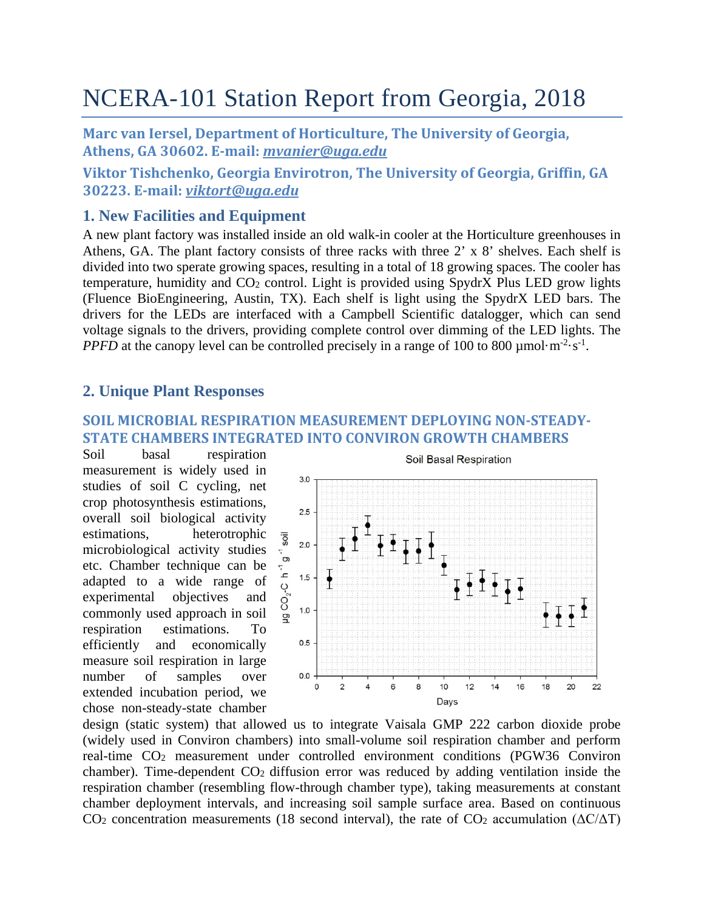# NCERA-101 Station Report from Georgia, 2018

**Marc van Iersel, Department of Horticulture, The University of Georgia, Athens, GA 30602. E-mail:** *[mvanier@uga.edu](mailto:mvanier@uga.edu)*

**Viktor Tishchenko, Georgia Envirotron, The University of Georgia, Griffin, GA 30223. E-mail:** *[viktort@uga.edu](mailto:viktort@uga.edu)*

## **1. New Facilities and Equipment**

A new plant factory was installed inside an old walk-in cooler at the Horticulture greenhouses in Athens, GA. The plant factory consists of three racks with three  $2' \times 8'$  shelves. Each shelf is divided into two sperate growing spaces, resulting in a total of 18 growing spaces. The cooler has temperature, humidity and CO2 control. Light is provided using SpydrX Plus LED grow lights (Fluence BioEngineering, Austin, TX). Each shelf is light using the SpydrX LED bars. The drivers for the LEDs are interfaced with a Campbell Scientific datalogger, which can send voltage signals to the drivers, providing complete control over dimming of the LED lights. The *PPFD* at the canopy level can be controlled precisely in a range of 100 to 800  $\mu$ mol·m<sup>-2</sup>·s<sup>-1</sup>.

## **2. Unique Plant Responses**

## **SOIL MICROBIAL RESPIRATION MEASUREMENT DEPLOYING NON-STEADY-STATE CHAMBERS INTEGRATED INTO CONVIRON GROWTH CHAMBERS**

Soil basal respiration measurement is widely used in studies of soil C cycling, net crop photosynthesis estimations, overall soil biological activity estimations, heterotrophic microbiological activity studies etc. Chamber technique can be adapted to a wide range of experimental objectives and commonly used approach in soil respiration estimations. To efficiently and economically measure soil respiration in large number of samples over extended incubation period, we chose non-steady-state chamber



design (static system) that allowed us to integrate Vaisala GMP 222 carbon dioxide probe (widely used in Conviron chambers) into small-volume soil respiration chamber and perform real-time CO2 measurement under controlled environment conditions (PGW36 Conviron chamber). Time-dependent  $CO<sub>2</sub>$  diffusion error was reduced by adding ventilation inside the respiration chamber (resembling flow-through chamber type), taking measurements at constant chamber deployment intervals, and increasing soil sample surface area. Based on continuous CO<sub>2</sub> concentration measurements (18 second interval), the rate of CO<sub>2</sub> accumulation ( $\Delta C/\Delta T$ )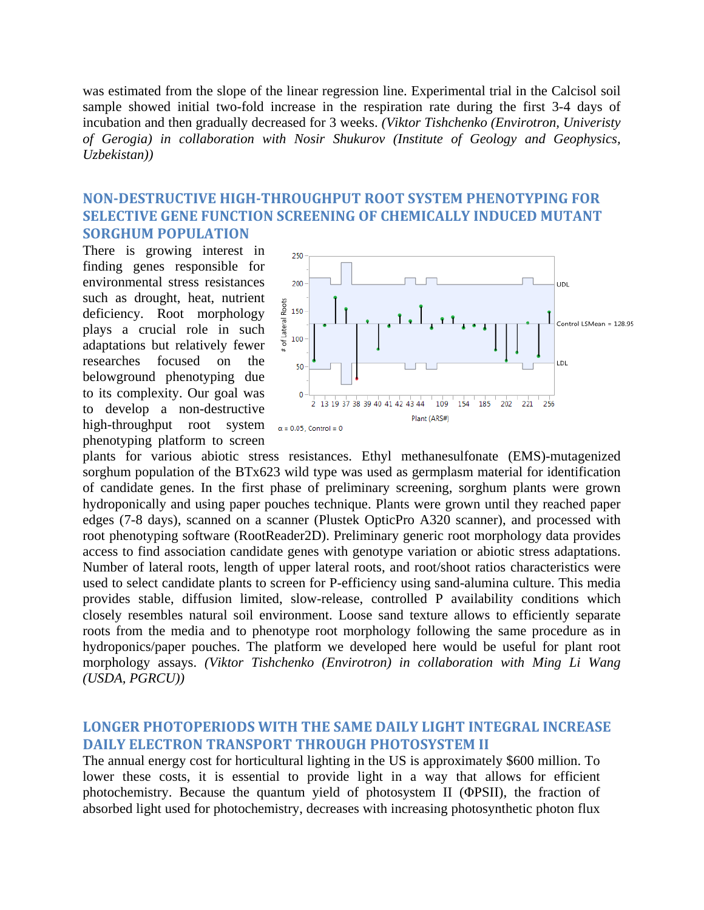was estimated from the slope of the linear regression line. Experimental trial in the Calcisol soil sample showed initial two-fold increase in the respiration rate during the first 3-4 days of incubation and then gradually decreased for 3 weeks. *(Viktor Tishchenko (Envirotron, Univeristy of Gerogia) in collaboration with Nosir Shukurov (Institute of Geology and Geophysics, Uzbekistan))*

## **NON-DESTRUCTIVE HIGH-THROUGHPUT ROOT SYSTEM PHENOTYPING FOR SELECTIVE GENE FUNCTION SCREENING OF CHEMICALLY INDUCED MUTANT SORGHUM POPULATION**

There is growing interest in finding genes responsible for environmental stress resistances such as drought, heat, nutrient deficiency. Root morphology plays a crucial role in such adaptations but relatively fewer researches focused on the belowground phenotyping due to its complexity. Our goal was to develop a non-destructive high-throughput root system  $\alpha = 0.05$ , Control = 0 phenotyping platform to screen



plants for various abiotic stress resistances. Ethyl methanesulfonate (EMS)-mutagenized sorghum population of the BTx623 wild type was used as germplasm material for identification of candidate genes. In the first phase of preliminary screening, sorghum plants were grown hydroponically and using paper pouches technique. Plants were grown until they reached paper edges (7-8 days), scanned on a scanner (Plustek OpticPro A320 scanner), and processed with root phenotyping software (RootReader2D). Preliminary generic root morphology data provides access to find association candidate genes with genotype variation or abiotic stress adaptations. Number of lateral roots, length of upper lateral roots, and root/shoot ratios characteristics were used to select candidate plants to screen for P-efficiency using sand-alumina culture. This media provides stable, diffusion limited, slow-release, controlled P availability conditions which closely resembles natural soil environment. Loose sand texture allows to efficiently separate roots from the media and to phenotype root morphology following the same procedure as in hydroponics/paper pouches. The platform we developed here would be useful for plant root morphology assays. *(Viktor Tishchenko (Envirotron) in collaboration with Ming Li Wang (USDA, PGRCU))*

#### **LONGER PHOTOPERIODS WITH THE SAME DAILY LIGHT INTEGRAL INCREASE DAILY ELECTRON TRANSPORT THROUGH PHOTOSYSTEM II**

The annual energy cost for horticultural lighting in the US is approximately \$600 million. To lower these costs, it is essential to provide light in a way that allows for efficient photochemistry. Because the quantum yield of photosystem II (ΦPSII), the fraction of absorbed light used for photochemistry, decreases with increasing photosynthetic photon flux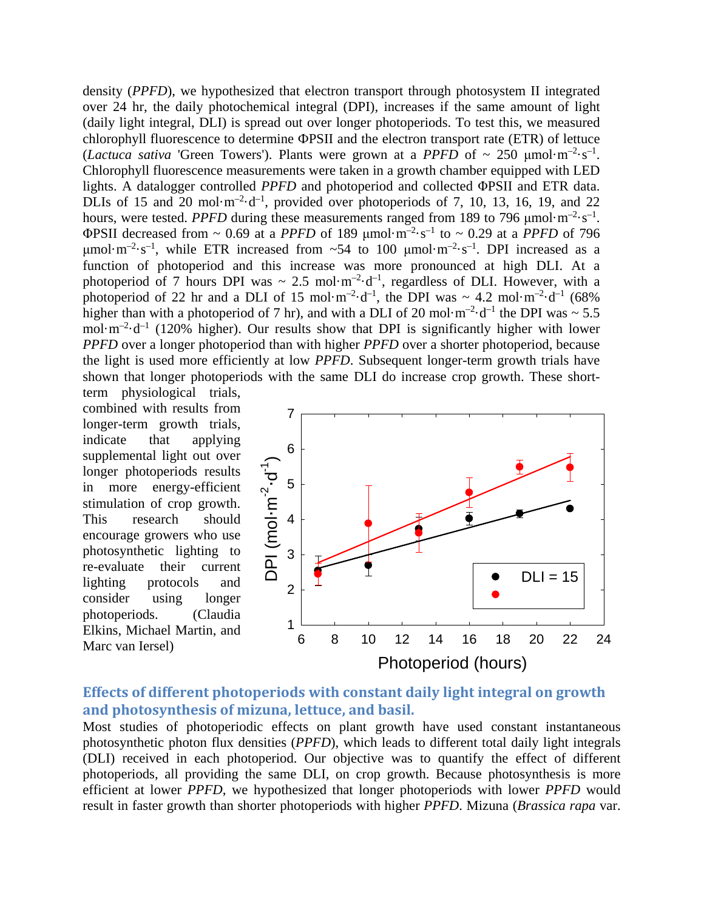density (*PPFD*), we hypothesized that electron transport through photosystem II integrated over 24 hr, the daily photochemical integral (DPI), increases if the same amount of light (daily light integral, DLI) is spread out over longer photoperiods. To test this, we measured chlorophyll fluorescence to determine ФPSII and the electron transport rate (ETR) of lettuce (*Lactuca sativa* 'Green Towers'). Plants were grown at a *PPFD* of  $\sim 250 \mu \text{mol} \cdot \text{m}^{-2} \cdot \text{s}^{-1}$ . Chlorophyll fluorescence measurements were taken in a growth chamber equipped with LED lights. A datalogger controlled *PPFD* and photoperiod and collected ΦPSII and ETR data. DLIs of 15 and 20 mol $\cdot$ m<sup>-2</sup> $\cdot$ d<sup>-1</sup>, provided over photoperiods of 7, 10, 13, 16, 19, and 22 hours, were tested. *PPFD* during these measurements ranged from 189 to 796  $\mu$ mol·m<sup>-2</sup>·s<sup>-1</sup>. ΦPSII decreased from  $\sim 0.69$  at a *PPFD* of 189 μmol·m<sup>-2</sup>·s<sup>-1</sup> to  $\sim 0.29$  at a *PPFD* of 796 μmol·m<sup>-2</sup>·s<sup>-1</sup>, while ETR increased from ~54 to 100 μmol·m<sup>-2</sup>·s<sup>-1</sup>. DPI increased as a function of photoperiod and this increase was more pronounced at high DLI. At a photoperiod of 7 hours DPI was  $\sim 2.5$  mol $\cdot$ m<sup>-2</sup> $\cdot$ d<sup>-1</sup>, regardless of DLI. However, with a photoperiod of 22 hr and a DLI of 15 mol·m<sup>-2</sup>·d<sup>-1</sup>, the DPI was  $\sim 4.2$  mol·m<sup>-2</sup>·d<sup>-1</sup> (68%) higher than with a photoperiod of 7 hr), and with a DLI of 20 mol $\cdot$ m<sup>-2</sup> $\cdot$ d<sup>-1</sup> the DPI was  $\sim$  5.5 mol $\cdot$ m<sup>-2</sup> $\cdot$ d<sup>-1</sup> (120% higher). Our results show that DPI is significantly higher with lower *PPFD* over a longer photoperiod than with higher *PPFD* over a shorter photoperiod, because the light is used more efficiently at low *PPFD*. Subsequent longer-term growth trials have shown that longer photoperiods with the same DLI do increase crop growth. These short-

term physiological trials, combined with results from longer-term growth trials, indicate that applying supplemental light out over longer photoperiods results in more energy-efficient stimulation of crop growth. This research should encourage growers who use photosynthetic lighting to re-evaluate their current lighting protocols and consider using longer photoperiods. (Claudia Elkins, Michael Martin, and Marc van Iersel)



## **Effects of different photoperiods with constant daily light integral on growth and photosynthesis of mizuna, lettuce, and basil.**

Most studies of photoperiodic effects on plant growth have used constant instantaneous photosynthetic photon flux densities (*PPFD*), which leads to different total daily light integrals (DLI) received in each photoperiod. Our objective was to quantify the effect of different photoperiods, all providing the same DLI, on crop growth. Because photosynthesis is more efficient at lower *PPFD*, we hypothesized that longer photoperiods with lower *PPFD* would result in faster growth than shorter photoperiods with higher *PPFD*. Mizuna (*Brassica rapa* var.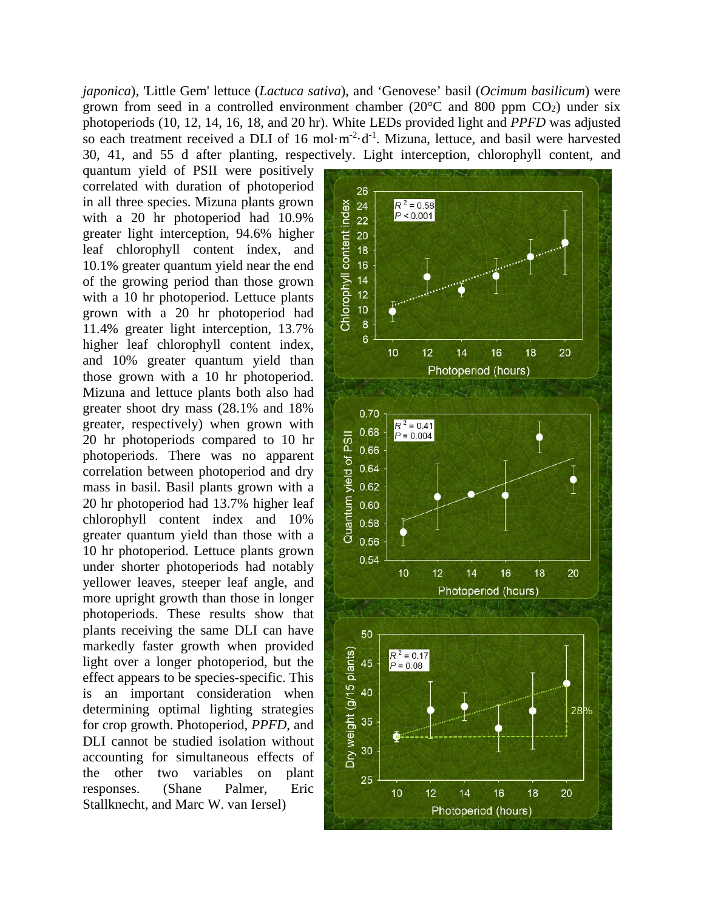*japonica*), 'Little Gem' lettuce (*Lactuca sativa*), and 'Genovese' basil (*Ocimum basilicum*) were grown from seed in a controlled environment chamber ( $20^{\circ}$ C and 800 ppm CO<sub>2</sub>) under six photoperiods (10, 12, 14, 16, 18, and 20 hr). White LEDs provided light and *PPFD* was adjusted so each treatment received a DLI of 16 mol $\cdot$ m<sup>-2</sup> $\cdot$ d<sup>-1</sup>. Mizuna, lettuce, and basil were harvested 30, 41, and 55 d after planting, respectively. Light interception, chlorophyll content, and

quantum yield of PSII were positively correlated with duration of photoperiod in all three species. Mizuna plants grown with a 20 hr photoperiod had 10.9% greater light interception, 94.6% higher leaf chlorophyll content index, and 10.1% greater quantum yield near the end of the growing period than those grown with a 10 hr photoperiod. Lettuce plants grown with a 20 hr photoperiod had 11.4% greater light interception, 13.7% higher leaf chlorophyll content index, and 10% greater quantum yield than those grown with a 10 hr photoperiod. Mizuna and lettuce plants both also had greater shoot dry mass (28.1% and 18% greater, respectively) when grown with 20 hr photoperiods compared to 10 hr photoperiods. There was no apparent correlation between photoperiod and dry mass in basil. Basil plants grown with a 20 hr photoperiod had 13.7% higher leaf chlorophyll content index and 10% greater quantum yield than those with a 10 hr photoperiod. Lettuce plants grown under shorter photoperiods had notably yellower leaves, steeper leaf angle, and more upright growth than those in longer photoperiods. These results show that plants receiving the same DLI can have markedly faster growth when provided light over a longer photoperiod, but the effect appears to be species-specific. This is an important consideration when determining optimal lighting strategies for crop growth. Photoperiod, *PPFD*, and DLI cannot be studied isolation without accounting for simultaneous effects of the other two variables on plant responses. (Shane Palmer, Eric Stallknecht, and Marc W. van Iersel)

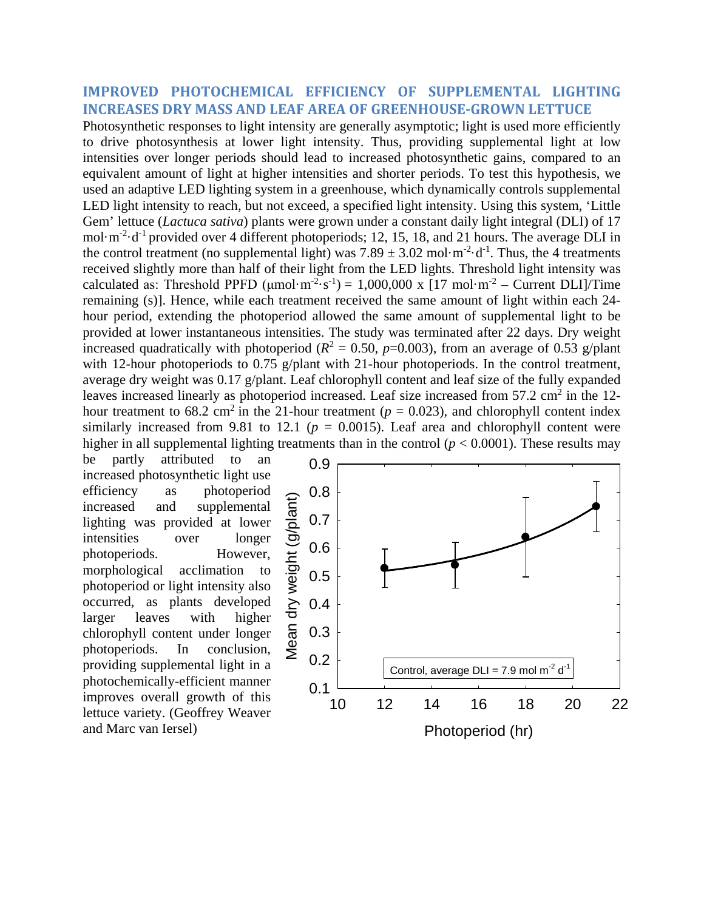#### **IMPROVED PHOTOCHEMICAL EFFICIENCY OF SUPPLEMENTAL LIGHTING INCREASES DRY MASS AND LEAF AREA OF GREENHOUSE-GROWN LETTUCE**

Photosynthetic responses to light intensity are generally asymptotic; light is used more efficiently to drive photosynthesis at lower light intensity. Thus, providing supplemental light at low intensities over longer periods should lead to increased photosynthetic gains, compared to an equivalent amount of light at higher intensities and shorter periods. To test this hypothesis, we used an adaptive LED lighting system in a greenhouse, which dynamically controls supplemental LED light intensity to reach, but not exceed, a specified light intensity. Using this system, 'Little Gem' lettuce (*Lactuca sativa*) plants were grown under a constant daily light integral (DLI) of 17 mol·m<sup>-2</sup>·d<sup>-1</sup> provided over 4 different photoperiods; 12, 15, 18, and 21 hours. The average DLI in the control treatment (no supplemental light) was  $7.89 \pm 3.02$  mol·m<sup>-2</sup>·d<sup>-1</sup>. Thus, the 4 treatments received slightly more than half of their light from the LED lights. Threshold light intensity was calculated as: Threshold PPFD ( $\mu$ mol·m<sup>-2</sup>·s<sup>-1</sup>) = 1,000,000 x [17 mol·m<sup>-2</sup> – Current DLI]/Time remaining (s)]. Hence, while each treatment received the same amount of light within each 24 hour period, extending the photoperiod allowed the same amount of supplemental light to be provided at lower instantaneous intensities. The study was terminated after 22 days. Dry weight increased quadratically with photoperiod ( $R^2 = 0.50$ ,  $p=0.003$ ), from an average of 0.53 g/plant with 12-hour photoperiods to 0.75 g/plant with 21-hour photoperiods. In the control treatment, average dry weight was 0.17 g/plant. Leaf chlorophyll content and leaf size of the fully expanded leaves increased linearly as photoperiod increased. Leaf size increased from  $57.2 \text{ cm}^2$  in the 12hour treatment to 68.2 cm<sup>2</sup> in the 21-hour treatment ( $p = 0.023$ ), and chlorophyll content index similarly increased from 9.81 to 12.1 ( $p = 0.0015$ ). Leaf area and chlorophyll content were higher in all supplemental lighting treatments than in the control  $(p < 0.0001)$ . These results may

be partly attributed to an increased photosynthetic light use efficiency as photoperiod increased and supplemental lighting was provided at lower intensities over longer photoperiods. However, morphological acclimation to photoperiod or light intensity also occurred, as plants developed larger leaves with higher chlorophyll content under longer photoperiods. In conclusion, providing supplemental light in a photochemically-efficient manner improves overall growth of this lettuce variety. (Geoffrey Weaver

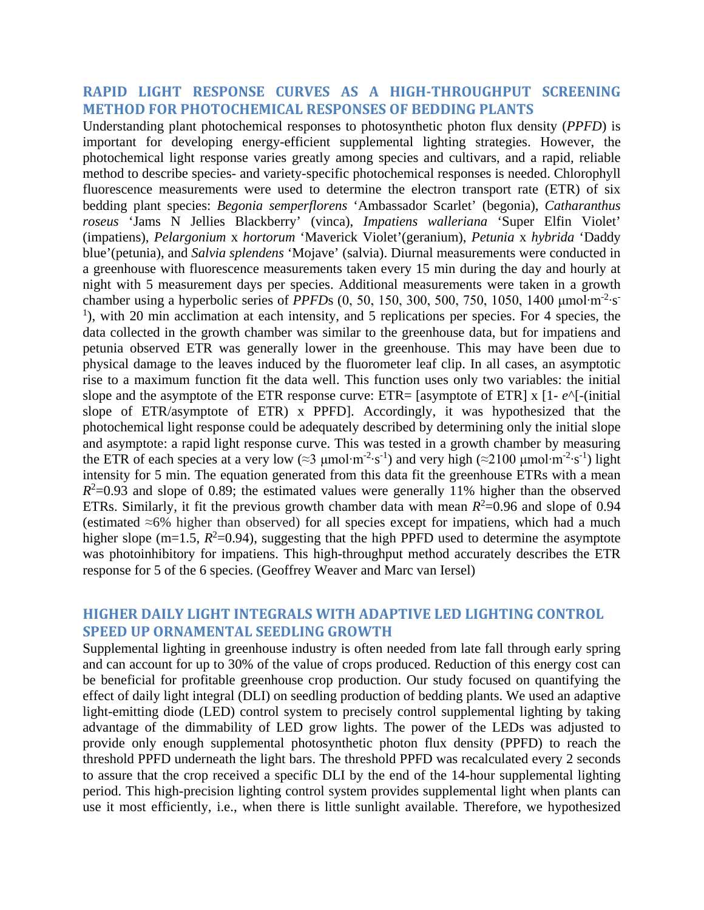#### **RAPID LIGHT RESPONSE CURVES AS A HIGH-THROUGHPUT SCREENING METHOD FOR PHOTOCHEMICAL RESPONSES OF BEDDING PLANTS**

Understanding plant photochemical responses to photosynthetic photon flux density (*PPFD*) is important for developing energy-efficient supplemental lighting strategies. However, the photochemical light response varies greatly among species and cultivars, and a rapid, reliable method to describe species- and variety-specific photochemical responses is needed. Chlorophyll fluorescence measurements were used to determine the electron transport rate (ETR) of six bedding plant species: *Begonia semperflorens* 'Ambassador Scarlet' (begonia), *Catharanthus roseus* 'Jams N Jellies Blackberry' (vinca), *Impatiens walleriana* 'Super Elfin Violet' (impatiens), *Pelargonium* x *hortorum* 'Maverick Violet'(geranium), *Petunia* x *hybrida* 'Daddy blue'(petunia), and *Salvia splendens* 'Mojave' (salvia). Diurnal measurements were conducted in a greenhouse with fluorescence measurements taken every 15 min during the day and hourly at night with 5 measurement days per species. Additional measurements were taken in a growth chamber using a hyperbolic series of *PPFD*s (0, 50, 150, 300, 500, 750, 1050, 1400 μmol·m<sup>-2</sup>·s<sup>-</sup> <sup>1</sup>), with 20 min acclimation at each intensity, and 5 replications per species. For 4 species, the data collected in the growth chamber was similar to the greenhouse data, but for impatiens and petunia observed ETR was generally lower in the greenhouse. This may have been due to physical damage to the leaves induced by the fluorometer leaf clip. In all cases, an asymptotic rise to a maximum function fit the data well. This function uses only two variables: the initial slope and the asymptote of the ETR response curve: ETR= [asymptote of ETR] x [1- *e*^[-(initial slope of ETR/asymptote of ETR) x PPFD]. Accordingly, it was hypothesized that the photochemical light response could be adequately described by determining only the initial slope and asymptote: a rapid light response curve. This was tested in a growth chamber by measuring the ETR of each species at a very low (≈3 µmol⋅m<sup>-2</sup>⋅s<sup>-1</sup>) and very high (≈2100 µmol⋅m<sup>-2</sup>⋅s<sup>-1</sup>) light intensity for 5 min. The equation generated from this data fit the greenhouse ETRs with a mean  $R<sup>2</sup>=0.93$  and slope of 0.89; the estimated values were generally 11% higher than the observed ETRs. Similarly, it fit the previous growth chamber data with mean  $R^2$ =0.96 and slope of 0.94 (estimated ≈6% higher than observed) for all species except for impatiens, which had a much higher slope (m=1.5,  $R^2$ =0.94), suggesting that the high PPFD used to determine the asymptote was photoinhibitory for impatiens. This high-throughput method accurately describes the ETR response for 5 of the 6 species. (Geoffrey Weaver and Marc van Iersel)

#### **HIGHER DAILY LIGHT INTEGRALS WITH ADAPTIVE LED LIGHTING CONTROL SPEED UP ORNAMENTAL SEEDLING GROWTH**

Supplemental lighting in greenhouse industry is often needed from late fall through early spring and can account for up to 30% of the value of crops produced. Reduction of this energy cost can be beneficial for profitable greenhouse crop production. Our study focused on quantifying the effect of daily light integral (DLI) on seedling production of bedding plants. We used an adaptive light-emitting diode (LED) control system to precisely control supplemental lighting by taking advantage of the dimmability of LED grow lights. The power of the LEDs was adjusted to provide only enough supplemental photosynthetic photon flux density (PPFD) to reach the threshold PPFD underneath the light bars. The threshold PPFD was recalculated every 2 seconds to assure that the crop received a specific DLI by the end of the 14-hour supplemental lighting period. This high-precision lighting control system provides supplemental light when plants can use it most efficiently, i.e., when there is little sunlight available. Therefore, we hypothesized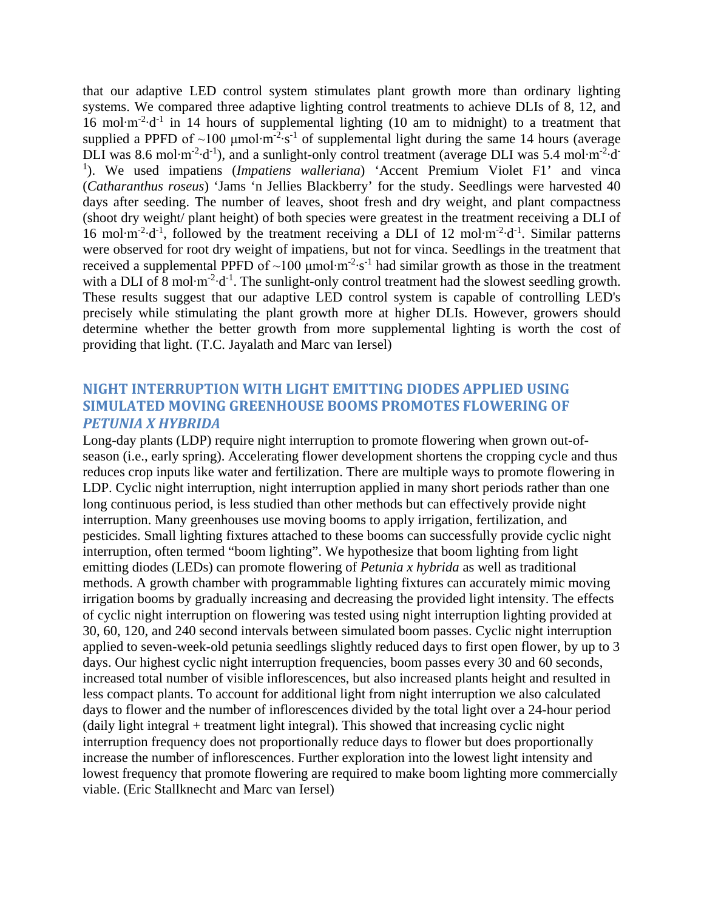that our adaptive LED control system stimulates plant growth more than ordinary lighting systems. We compared three adaptive lighting control treatments to achieve DLIs of 8, 12, and 16 mol $\cdot$ m<sup>-2</sup> $\cdot$ d<sup>-1</sup> in 14 hours of supplemental lighting (10 am to midnight) to a treatment that supplied a PPFD of  $\sim$ 100 µmol⋅m<sup>-2</sup>⋅s<sup>-1</sup> of supplemental light during the same 14 hours (average DLI was 8.6 mol·m<sup>-2</sup>·d<sup>-1</sup>), and a sunlight-only control treatment (average DLI was 5.4 mol·m<sup>-2</sup>·d<sup>-</sup> <sup>1</sup>). We used impatiens (*Impatiens walleriana*) 'Accent Premium Violet F1' and vinca (*Catharanthus roseus*) 'Jams 'n Jellies Blackberry' for the study. Seedlings were harvested 40 days after seeding. The number of leaves, shoot fresh and dry weight, and plant compactness (shoot dry weight/ plant height) of both species were greatest in the treatment receiving a DLI of 16 mol·m<sup>-2</sup>·d<sup>-1</sup>, followed by the treatment receiving a DLI of 12 mol·m<sup>-2</sup>·d<sup>-1</sup>. Similar patterns were observed for root dry weight of impatiens, but not for vinca. Seedlings in the treatment that received a supplemental PPFD of  $\sim$ 100 µmol·m<sup>-2</sup>·s<sup>-1</sup> had similar growth as those in the treatment with a DLI of 8 mol $\cdot$ m<sup>-2</sup> $\cdot$ d<sup>-1</sup>. The sunlight-only control treatment had the slowest seedling growth. These results suggest that our adaptive LED control system is capable of controlling LED's precisely while stimulating the plant growth more at higher DLIs. However, growers should determine whether the better growth from more supplemental lighting is worth the cost of providing that light. (T.C. Jayalath and Marc van Iersel)

## **NIGHT INTERRUPTION WITH LIGHT EMITTING DIODES APPLIED USING SIMULATED MOVING GREENHOUSE BOOMS PROMOTES FLOWERING OF**  *PETUNIA X HYBRIDA*

Long-day plants (LDP) require night interruption to promote flowering when grown out-ofseason (i.e., early spring). Accelerating flower development shortens the cropping cycle and thus reduces crop inputs like water and fertilization. There are multiple ways to promote flowering in LDP. Cyclic night interruption, night interruption applied in many short periods rather than one long continuous period, is less studied than other methods but can effectively provide night interruption. Many greenhouses use moving booms to apply irrigation, fertilization, and pesticides. Small lighting fixtures attached to these booms can successfully provide cyclic night interruption, often termed "boom lighting". We hypothesize that boom lighting from light emitting diodes (LEDs) can promote flowering of *Petunia x hybrida* as well as traditional methods. A growth chamber with programmable lighting fixtures can accurately mimic moving irrigation booms by gradually increasing and decreasing the provided light intensity. The effects of cyclic night interruption on flowering was tested using night interruption lighting provided at 30, 60, 120, and 240 second intervals between simulated boom passes. Cyclic night interruption applied to seven-week-old petunia seedlings slightly reduced days to first open flower, by up to 3 days. Our highest cyclic night interruption frequencies, boom passes every 30 and 60 seconds, increased total number of visible inflorescences, but also increased plants height and resulted in less compact plants. To account for additional light from night interruption we also calculated days to flower and the number of inflorescences divided by the total light over a 24-hour period (daily light integral + treatment light integral). This showed that increasing cyclic night interruption frequency does not proportionally reduce days to flower but does proportionally increase the number of inflorescences. Further exploration into the lowest light intensity and lowest frequency that promote flowering are required to make boom lighting more commercially viable. (Eric Stallknecht and Marc van Iersel)